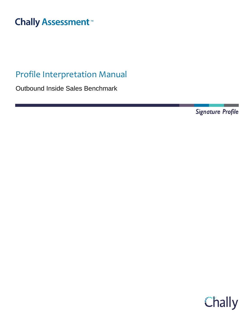# **Chally Assessment**<sup>™</sup>

## Profile Interpretation Manual

Outbound Inside Sales Benchmark

Signature Profile

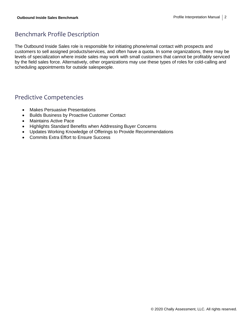## Benchmark Profile Description

The Outbound Inside Sales role is responsible for initiating phone/email contact with prospects and customers to sell assigned products/services, and often have a quota. In some organizations, there may be levels of specialization where inside sales may work with small customers that cannot be profitably serviced by the field sales force. Alternatively, other organizations may use these types of roles for cold-calling and scheduling appointments for outside salespeople.

#### Predictive Competencies

- Makes Persuasive Presentations
- Builds Business by Proactive Customer Contact
- Maintains Active Pace
- Highlights Standard Benefits when Addressing Buyer Concerns
- Updates Working Knowledge of Offerings to Provide Recommendations
- Commits Extra Effort to Ensure Success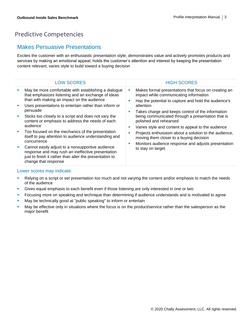## Predictive Competencies

#### Makes Persuasive Presentations

Excites the customer with an enthusiastic presentation style; demonstrates value and actively promotes products and services by making an emotional appeal; holds the customer's attention and interest by keeping the presentation content relevant; varies style to build toward a buying decision

- **EXELG** Provide a script or set presentation too much and not varying the content and/or emphasis to match the needs of the audience
- **•** Gives equal emphasis to each benefit even if those listening are only interested in one or two
- **•** Focusing more on speaking and technique than determining if audience understands and is motivated to agree
- **■** May be technically good at "public speaking" to inform or entertain
- May be effective only in situations where the focus is on the product/service rather than the salesperson as the major benefit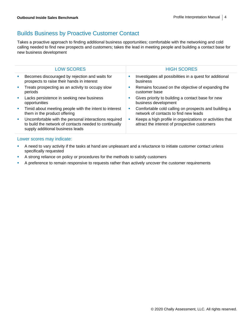## Builds Business by Proactive Customer Contact

Takes a proactive approach to finding additional business opportunities; comfortable with the networking and cold calling needed to find new prospects and customers; takes the lead in meeting people and building a contact base for new business development

| <b>LOW SCORES</b>                                                                                                                                   |    | <b>HIGH SCORES</b>                                                                                        |
|-----------------------------------------------------------------------------------------------------------------------------------------------------|----|-----------------------------------------------------------------------------------------------------------|
| Becomes discouraged by rejection and waits for<br>prospects to raise their hands in interest                                                        | п  | Investigates all possibilities in a quest for additional<br>business                                      |
| Treats prospecting as an activity to occupy slow<br>periods                                                                                         | I. | Remains focused on the objective of expanding the<br>customer base                                        |
| Lacks persistence in seeking new business<br>opportunities                                                                                          |    | Gives priority to building a contact base for new<br>business development                                 |
| Timid about meeting people with the intent to interest<br>them in the product offering                                                              | ш  | Comfortable cold calling on prospects and building a<br>network of contacts to find new leads             |
| Uncomfortable with the personal interactions required<br>to build the network of contacts needed to continually<br>supply additional business leads | ш  | Keeps a high profile in organizations or activities that<br>attract the interest of prospective customers |
|                                                                                                                                                     |    |                                                                                                           |

- A need to vary activity if the tasks at hand are unpleasant and a reluctance to initiate customer contact unless specifically requested
- **EXECUTE:** A strong reliance on policy or procedures for the methods to satisfy customers
- **EXECT** A preference to remain responsive to requests rather than actively uncover the customer requirements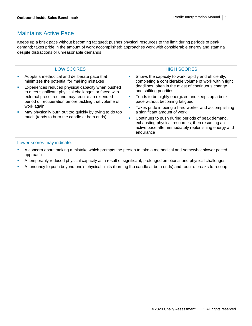#### Maintains Active Pace

Keeps up a brisk pace without becoming fatigued; pushes physical resources to the limit during periods of peak demand; takes pride in the amount of work accomplished; approaches work with considerable energy and stamina despite distractions or unreasonable demands

| <b>LOW SCORES</b>                                                                                          |    | <b>HIGH SCORES</b>                                                                                                                                                                            |
|------------------------------------------------------------------------------------------------------------|----|-----------------------------------------------------------------------------------------------------------------------------------------------------------------------------------------------|
| Adopts a methodical and deliberate pace that<br>minimizes the potential for making mistakes                |    | Shows the capacity to work rapidly and efficiently,<br>completing a considerable volume of work within tight<br>deadlines, often in the midst of continuous change<br>and shifting priorities |
| Experiences reduced physical capacity when pushed<br>to meet significant physical challenges or faced with |    |                                                                                                                                                                                               |
| external pressures and may require an extended<br>period of recuperation before tackling that volume of    |    | Tends to be highly energized and keeps up a brisk<br>pace without becoming fatigued                                                                                                           |
| work again                                                                                                 | ш  | Takes pride in being a hard worker and accomplishing                                                                                                                                          |
| May physically burn out too quickly by trying to do too                                                    |    | a significant amount of work                                                                                                                                                                  |
| much (tends to burn the candle at both ends)                                                               | a. | Continues to push during periods of peak demand,<br>exhausting physical resources, then resuming an<br>active pace after immediately replenishing energy and<br>endurance                     |
|                                                                                                            |    |                                                                                                                                                                                               |

- A concern about making a mistake which prompts the person to take a methodical and somewhat slower paced approach
- A temporarily reduced physical capacity as a result of significant, prolonged emotional and physical challenges
- **•** A tendency to push beyond one's physical limits (burning the candle at both ends) and require breaks to recoup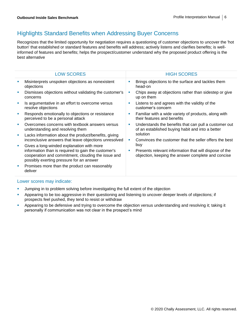## Highlights Standard Benefits when Addressing Buyer Concerns

Recognizes that the limited opportunity for negotiation requires a questioning of customer objections to uncover the 'hot button' that established or standard features and benefits will address; actively listens and clarifies benefits; is wellinformed of features and benefits; helps the prospect/customer understand why the proposed product offering is the best alternative

| <b>LOW SCORES</b>                                                                                                                                                                                  |    | <b>HIGH SCORES</b>                                                                                                  |
|----------------------------------------------------------------------------------------------------------------------------------------------------------------------------------------------------|----|---------------------------------------------------------------------------------------------------------------------|
| Misinterprets unspoken objections as nonexistent<br>objections                                                                                                                                     |    | Brings objections to the surface and tackles them<br>head-on                                                        |
| Dismisses objections without validating the customer's<br>concerns                                                                                                                                 |    | Chips away at objections rather than sidestep or give<br>up on them                                                 |
| Is argumentative in an effort to overcome versus<br>resolve objections                                                                                                                             | п  | Listens to and agrees with the validity of the<br>customer's concern                                                |
| Responds emotionally to objections or resistance<br>perceived to be a personal attack                                                                                                              | L. | Familiar with a wide variety of products, along with<br>their features and benefits                                 |
| Overcomes concerns with textbook answers versus<br>understanding and resolving them                                                                                                                | ×  | Understands the benefits that can pull a customer out<br>of an established buying habit and into a better           |
| Lacks information about the product/benefits, giving<br>inconclusive answers that leave objections unresolved                                                                                      | ×  | solution<br>Convinces the customer that the seller offers the best                                                  |
| Gives a long-winded explanation with more<br>information than is required to gain the customer's<br>cooperation and commitment, clouding the issue and<br>possibly exerting pressure for an answer | ×  | buy<br>Presents relevant information that will dispose of the<br>objection, keeping the answer complete and concise |
| Promises more than the product can reasonably<br>deliver                                                                                                                                           |    |                                                                                                                     |

- **•** Jumping in to problem solving before investigating the full extent of the objection
- Appearing to be too aggressive in their questioning and listening to uncover deeper levels of objections; if prospects feel pushed, they tend to resist or withdraw
- Appearing to be defensive and trying to overcome the objection versus understanding and resolving it; taking it personally if communication was not clear in the prospect's mind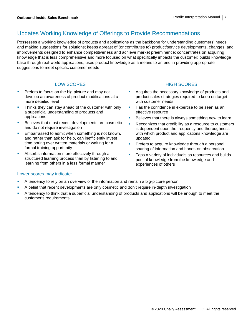## Updates Working Knowledge of Offerings to Provide Recommendations

Possesses a working knowledge of products and applications as the backbone for understanding customers' needs and making suggestions for solutions; keeps abreast of (or contributes to) product/service developments, changes, and improvements designed to enhance competitiveness and achieve market preeminence; concentrates on acquiring knowledge that is less comprehensive and more focused on what specifically impacts the customer; builds knowledge base through real-world applications; uses product knowledge as a means to an end in providing appropriate suggestions to meet specific customer needs

| <b>LOW SCORES</b>                                                                                                                                      |   | <b>HIGH SCORES</b>                                                                                                             |
|--------------------------------------------------------------------------------------------------------------------------------------------------------|---|--------------------------------------------------------------------------------------------------------------------------------|
| Prefers to focus on the big picture and may not<br>develop an awareness of product modifications at a<br>more detailed level                           |   | Acquires the necessary knowledge of products and<br>product sales strategies required to keep on target<br>with customer needs |
| Thinks they can stay ahead of the customer with only<br>a superficial understanding of products and                                                    | ш | Has the confidence in expertise to be seen as an<br>effective resource                                                         |
| applications                                                                                                                                           | ш | Believes that there is always something new to learn                                                                           |
| Believes that most recent developments are cosmetic<br>and do not require investigation                                                                | ш | Recognizes that credibility as a resource to customers<br>is dependent upon the frequency and thoroughness                     |
| Embarrassed to admit when something is not known,<br>and rather than ask for help, can inefficiently invest                                            |   | with which product and applications knowledge are<br>updated                                                                   |
| time poring over written materials or waiting for a<br>formal training opportunity                                                                     | ш | Prefers to acquire knowledge through a personal<br>sharing of information and hands-on observation                             |
| Absorbs information more effectively through a<br>structured learning process than by listening to and<br>learning from others in a less formal manner |   | Taps a variety of individuals as resources and builds<br>pool of knowledge from the knowledge and<br>experiences of others     |

- **EXECT** A tendency to rely on an overview of the information and remain a big-picture person
- **•** A belief that recent developments are only cosmetic and don't require in-depth investigation
- **•** A tendency to think that a superficial understanding of products and applications will be enough to meet the customer's requirements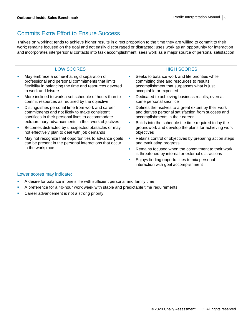## Commits Extra Effort to Ensure Success

Thrives on working; tends to achieve higher results in direct proportion to the time they are willing to commit to their work; remains focused on the goal and not easily discouraged or distracted; uses work as an opportunity for interaction and incorporates interpersonal contacts into task accomplishment; sees work as a major source of personal satisfaction

| <b>LOW SCORES</b>                                                                                                                                                                 | <b>HIGH SCORES</b>                                                                                                                                                       |
|-----------------------------------------------------------------------------------------------------------------------------------------------------------------------------------|--------------------------------------------------------------------------------------------------------------------------------------------------------------------------|
| May embrace a somewhat rigid separation of<br>professional and personal commitments that limits<br>flexibility in balancing the time and resources devoted<br>to work and leisure | Seeks to balance work and life priorities while<br>ш<br>committing time and resources to results<br>accomplishment that surpasses what is just<br>acceptable or expected |
| More inclined to work a set schedule of hours than to<br>commit resources as required by the objective                                                                            | Dedicated to achieving business results, even at<br>ш<br>some personal sacrifice                                                                                         |
| Distinguishes personal time from work and career<br>commitments and not likely to make consistent<br>sacrifices in their personal lives to accommodate                            | Defines themselves to a great extent by their work<br>×<br>and derives personal satisfaction from success and<br>accomplishments in their career                         |
| extraordinary advancements in their work objectives<br>Becomes distracted by unexpected obstacles or may<br>not effectively plan to deal with job demands                         | Builds into the schedule the time required to lay the<br>ш<br>groundwork and develop the plans for achieving work<br>objectives                                          |
| May not recognize that opportunities to advance goals<br>can be present in the personal interactions that occur<br>in the workplace                                               | Retains control of objectives by preparing action steps<br>ш<br>and evaluating progress                                                                                  |
|                                                                                                                                                                                   | Remains focused when the commitment to their work<br>п<br>is threatened by internal or external distractions                                                             |
|                                                                                                                                                                                   | Enjoys finding opportunities to mix personal<br>ш<br>interaction with goal accomplishment                                                                                |

- A desire for balance in one's life with sufficient personal and family time
- **•** A preference for a 40-hour work week with stable and predictable time requirements
- **•** Career advancement is not a strong priority